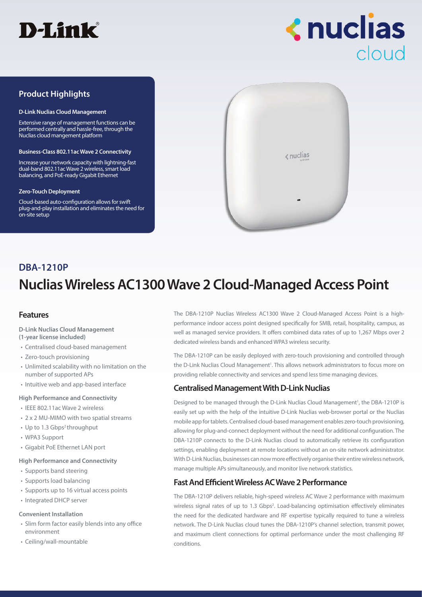



## **Product Highlights**

#### **D-Link Nuclias Cloud Management**

Extensive range of management functions can be performed centrally and hassle-free, through the Nuclias cloud mangement platform

#### **Business-Class 802.11ac Wave 2 Connectivity**

Increase your network capacity with lightning-fast dual-band 802.11ac Wave 2 wireless, smart load balancing, and PoE-ready Gigabit Ethernet

#### **Zero-Touch Deployment**

Cloud-based auto-configuration allows for swift plug-and-play installation and eliminates the need for on-site setup



## **Nuclias Wireless AC1300 Wave 2 Cloud-Managed Access Point DBA-1210P**

## **Features**

- **D-Link Nuclias Cloud Management**
- **(1-year license included)**
- Centralised cloud-based management
- Zero-touch provisioning
- Unlimited scalability with no limitation on the number of supported APs
- Intuitive web and app-based interface

### **High Performance and Connectivity**

- IEEE 802.11ac Wave 2 wireless
- 2 x 2 MU-MIMO with two spatial streams
- Up to 1.3 Gbps<sup>2</sup> throughput
- WPA3 Support
- Gigabit PoE Ethernet LAN port

### **High Performance and Connectivity**

- Supports band steering
- Supports load balancing
- Supports up to 16 virtual access points
- Integrated DHCP server

### **Convenient Installation**

- Slim form factor easily blends into any office environment
- Ceiling/wall-mountable

The DBA-1210P Nuclias Wireless AC1300 Wave 2 Cloud-Managed Access Point is a highperformance indoor access point designed specifically for SMB, retail, hospitality, campus, as well as managed service providers. It offers combined data rates of up to 1,267 Mbps over 2 dedicated wireless bands and enhanced WPA3 wireless security.

The DBA-1210P can be easily deployed with zero-touch provisioning and controlled through the D-Link Nuclias Cloud Management<sup>1</sup>. This allows network administrators to focus more on providing reliable connectivity and services and spend less time managing devices.

## **Centralised Management With D-Link Nuclias**

Designed to be managed through the D-Link Nuclias Cloud Management<sup>1</sup>, the DBA-1210P is easily set up with the help of the intuitive D-Link Nuclias web-browser portal or the Nuclias mobile app for tablets. Centralised cloud-based management enables zero-touch provisioning, allowing for plug-and-connect deployment without the need for additional configuration. The DBA-1210P connects to the D-Link Nuclias cloud to automatically retrieve its configuration settings, enabling deployment at remote locations without an on-site network administrator. With D-Link Nuclias, businesses can now more effectively organise their entire wireless network, manage multiple APs simultaneously, and monitor live network statistics.

## **Fast And Efficient Wireless AC Wave 2 Performance**

The DBA-1210P delivers reliable, high-speed wireless AC Wave 2 performance with maximum wireless signal rates of up to 1.3 Gbps<sup>2</sup>. Load-balancing optimisation effectively eliminates the need for the dedicated hardware and RF expertise typically required to tune a wireless network. The D-Link Nuclias cloud tunes the DBA-1210P's channel selection, transmit power, and maximum client connections for optimal performance under the most challenging RF conditions.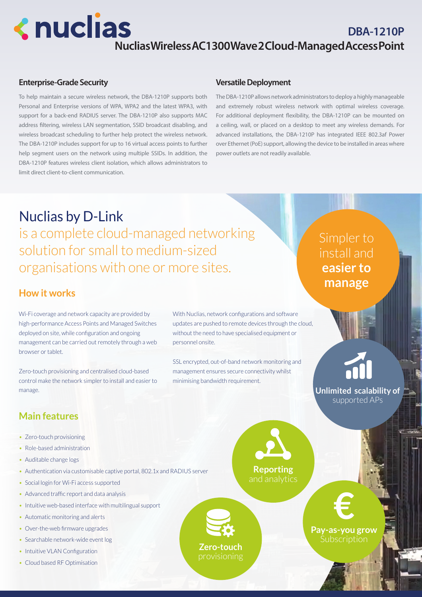# **<nuclias**

## **DBA-1210P Nuclias Wireless AC1300 Wave 2 Cloud-Managed Access Point**

## **Enterprise-Grade Security**

To help maintain a secure wireless network, the DBA-1210P supports both Personal and Enterprise versions of WPA, WPA2 and the latest WPA3, with support for a back-end RADIUS server. The DBA-1210P also supports MAC address filtering, wireless LAN segmentation, SSID broadcast disabling, and wireless broadcast scheduling to further help protect the wireless network. The DBA-1210P includes support for up to 16 virtual access points to further help segment users on the network using multiple SSIDs. In addition, the DBA-1210P features wireless client isolation, which allows administrators to limit direct client-to-client communication.

## **Versatile Deployment**

The DBA-1210P allows network administrators to deploy a highly manageable and extremely robust wireless network with optimal wireless coverage. For additional deployment flexibility, the DBA-1210P can be mounted on a ceiling, wall, or placed on a desktop to meet any wireless demands. For advanced installations, the DBA-1210P has integrated IEEE 802.3af Power over Ethernet (PoE) support, allowing the device to be installed in areas where power outlets are not readily available.

## Nuclias by D-Link is a complete cloud-managed networking solution for small to medium-sized organisations with one or more sites.

Wi-Fi coverage and network capacity are provided by high-performance Access Points and Managed Switches deployed on site, while configuration and ongoing management can be carried out remotely through a web browser or tablet.

Zero-touch provisioning and centralised cloud-based control make the network simpler to install and easier to manage.

With Nuclias, network configurations and software updates are pushed to remote devices through the cloud, without the need to have specialised equipment or personnel onsite.

SSL encrypted, out-of-band network monitoring and management ensures secure connectivity whilst minimising bandwidth requirement.

Simpler to install and **easier to manage How it works**

> **Unlimited scalability of**  supported APs

## **Main features**

- Zero-touch provisioning
- Role-based administration
- Auditable change logs
- Authentication via customisable captive portal, 802.1x and RADIUS server
- Social login for Wi-Fi access supported
- Advanced traffic report and data analysis
- Intuitive web-based interface with multilingual support
- Automatic monitoring and alerts
- Over-the-web firmware upgrades
- Searchable network-wide event log
- Intuitive VLAN Configuration
- Cloud based RF Optimisation

**Reporting** and analytics



**Pay-as-you grow** Subscription **€**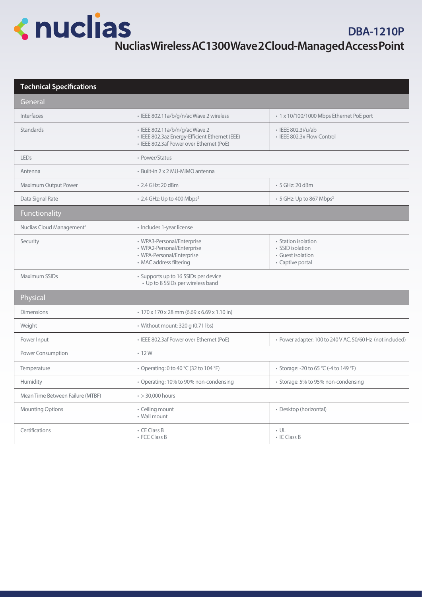## **<nuclias**

## **Technical Specifications**

| General                               |                                                                                                                              |                                                                                  |  |
|---------------------------------------|------------------------------------------------------------------------------------------------------------------------------|----------------------------------------------------------------------------------|--|
| Interfaces                            | · IEEE 802.11a/b/g/n/ac Wave 2 wireless                                                                                      | • 1 x 10/100/1000 Mbps Ethernet PoE port                                         |  |
| Standards                             | · IEEE 802.11a/b/n/g/ac Wave 2<br>· IEEE 802.3az Energy-Efficient Ethernet (EEE)<br>· IEEE 802.3af Power over Ethernet (PoE) | • IEEE 802.3i/u/ab<br>• IEEE 802.3x Flow Control                                 |  |
| LEDs                                  | • Power/Status                                                                                                               |                                                                                  |  |
| Antenna                               | · Built-in 2 x 2 MU-MIMO antenna                                                                                             |                                                                                  |  |
| Maximum Output Power                  | • 2.4 GHz: 20 dBm                                                                                                            | • 5 GHz: 20 dBm                                                                  |  |
| Data Signal Rate                      | • 2.4 GHz: Up to 400 Mbps <sup>2</sup>                                                                                       | • 5 GHz: Up to 867 Mbps <sup>2</sup>                                             |  |
| Functionality                         |                                                                                                                              |                                                                                  |  |
| Nuclias Cloud Management <sup>1</sup> | • Includes 1-year license                                                                                                    |                                                                                  |  |
| Security                              | • WPA3-Personal/Enterprise<br>• WPA2-Personal/Enterprise<br>• WPA-Personal/Enterprise<br>• MAC address filtering             | • Station isolation<br>· SSID isolation<br>· Guest isolation<br>• Captive portal |  |
| Maximum SSIDs                         | • Supports up to 16 SSIDs per device<br>• Up to 8 SSIDs per wireless band                                                    |                                                                                  |  |
| Physical                              |                                                                                                                              |                                                                                  |  |
| <b>Dimensions</b>                     | • 170 x 170 x 28 mm (6.69 x 6.69 x 1.10 in)                                                                                  |                                                                                  |  |
| Weight                                | · Without mount: 320 g (0.71 lbs)                                                                                            |                                                                                  |  |
| Power Input                           | · IEEE 802.3af Power over Ethernet (PoE)                                                                                     | • Power adapter: 100 to 240 V AC, 50/60 Hz (not included)                        |  |
| Power Consumption                     | $-12W$                                                                                                                       |                                                                                  |  |
| Temperature                           | • Operating: 0 to 40 °C (32 to 104 °F)                                                                                       | • Storage: -20 to 65 °C (-4 to 149 °F)                                           |  |
| Humidity                              | • Operating: 10% to 90% non-condensing                                                                                       | · Storage: 5% to 95% non-condensing                                              |  |
| Mean Time Between Failure (MTBF)      | $\cdot$ > 30,000 hours                                                                                                       |                                                                                  |  |
| <b>Mounting Options</b>               | · Ceiling mount<br>• Wall mount                                                                                              | · Desktop (horizontal)                                                           |  |
| Certifications                        | • CE Class B<br>• FCC Class B                                                                                                | $\cdot$ UL<br>• IC Class B                                                       |  |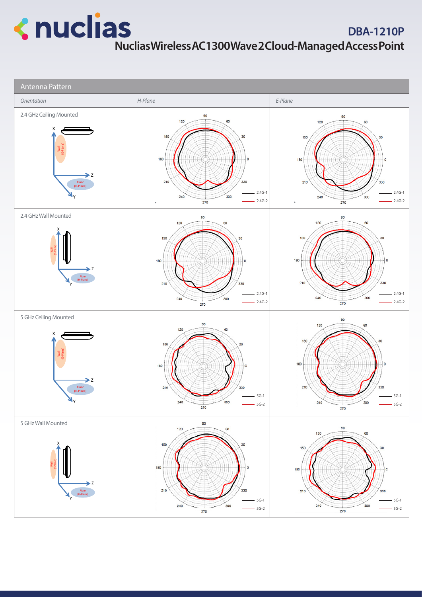